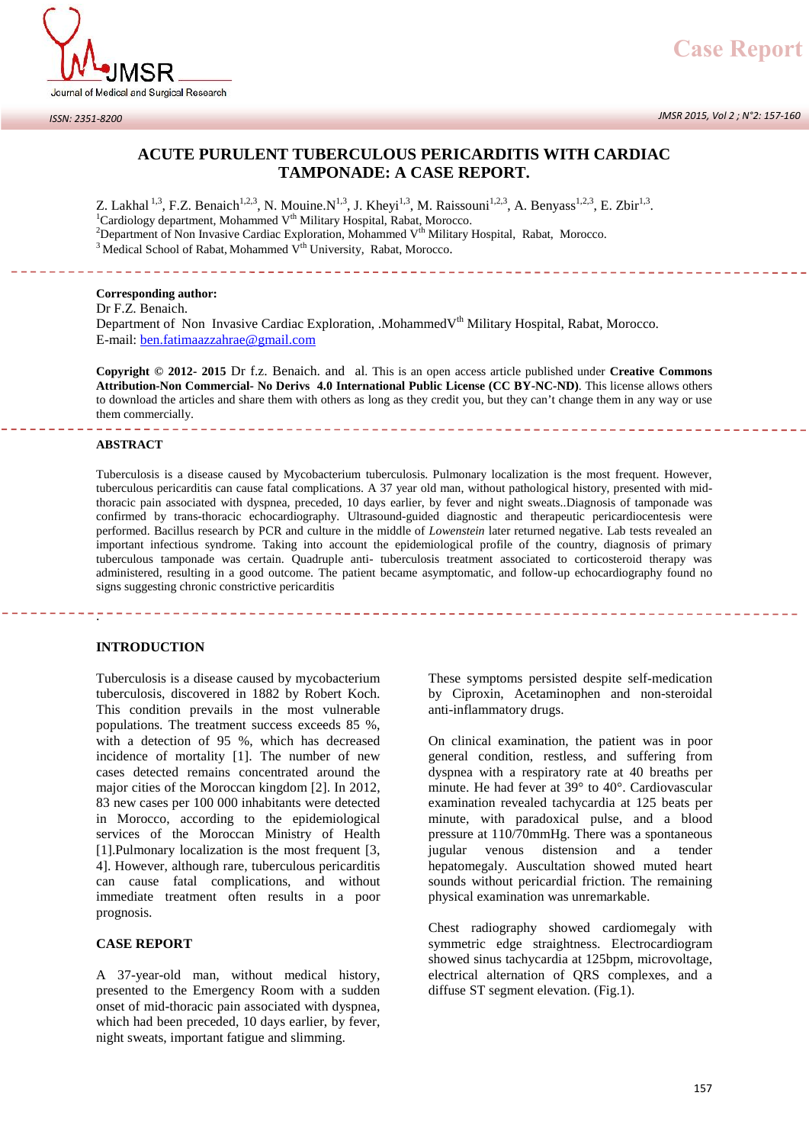

## **ACUTE PURULENT TUBERCULOUS PERICARDITIS WITH CARDIAC TAMPONADE: A CASE REPORT.**

Z. Lakhal <sup>1,3</sup>, F.Z. Benaich<sup>1,2,3</sup>, N. Mouine.N<sup>1,3</sup>, J. Kheyi<sup>1,3</sup>, M. Raissouni<sup>1,2,3</sup>, A. Benyass<sup>1,2,3</sup>, E. Zbir<sup>1,3</sup>. Z. Lakhal <sup>1,3</sup>, F.Z. Benaich<sup>1,2,3</sup>, N. Mouine.N<sup>1,3</sup>, J. Kheyi<sup>1,3</sup>, M. Raissouni<sup>1,2,3</sup>, A. Benyass<sup>1,2,3</sup>, E. Zbir<sup>1,3</sup>.<br><sup>1</sup>Cardiology department, Mohammed V<sup>th</sup> Military Hospital, Rabat, Morocco.<br><sup>2</sup>Department of Non  $3$  Medical School of Rabat, Mohammed V<sup>th</sup> University, Rabat, Morocco.

**Corresponding author:** Dr F.Z. Benaich.

Department of Non Invasive Cardiac Exploration, .MohammedV<sup>th</sup> Military Hospital, Rabat, Morocco. E-mail: ben.fatimaazzahrae@gmail.com

**Copyright © 2012- 2015** Dr f.z. Benaich. and al. This is an open access article published under **Creative Commons Attribution-Non Commercial- No Derivs 4.0 International Public License (CC BY-NC-ND)**. This license allows others to download the articles and share them with others as long as they credit you, but they can't change them in any way or use them commercially.

#### **ABSTRACT**

Tuberculosis is a disease caused by Mycobacterium tuberculosis. Pulmonary localization is the most frequent. However, tuberculous pericarditis can cause fatal complications. A 37 year old man, without pathological history, presented with midthoracic pain associated with dyspnea, preceded, 10 days earlier, by fever and night sweats..Diagnosis of tamponade was confirmed by trans-thoracic echocardiography. Ultrasound-guided diagnostic and therapeutic pericardiocentesis were performed. Bacillus research by PCR and culture in the middle of *Lowenstein* later returned negative. Lab tests revealed an important infectious syndrome. Taking into account the epidemiological profile of the country, diagnosis of primary tuberculous tamponade was certain. Quadruple anti- tuberculosis treatment associated to corticosteroid therapy was administered, resulting in a good outcome. The patient became asymptomatic, and follow-up echocardiography found no signs suggesting chronic constrictive pericarditis

#### **INTRODUCTION**

.

Tuberculosis is a disease caused by mycobacterium tuberculosis, discovered in 1882 by Robert Koch. This condition prevails in the most vulnerable populations. The treatment success exceeds 85 %, with a detection of 95 %, which has decreased incidence of mortality [1]. The number of new cases detected remains concentrated around the major cities of the Moroccan kingdom [2]. In 2012, 83 new cases per 100 000 inhabitants were detected in Morocco, according to the epidemiological services of the Moroccan Ministry of Health [1].Pulmonary localization is the most frequent [3, 4]. However, although rare, tuberculous pericarditis can cause fatal complications, and without immediate treatment often results in a poor prognosis.

## **CASE REPORT**

A 37-year-old man, without medical history, presented to the Emergency Room with a sudden onset of mid-thoracic pain associated with dyspnea, which had been preceded, 10 days earlier, by fever, night sweats, important fatigue and slimming.

These symptoms persisted despite self-medication by Ciproxin, Acetaminophen and non-steroidal anti-inflammatory drugs.

On clinical examination, the patient was in poor general condition, restless, and suffering from dyspnea with a respiratory rate at 40 breaths per minute. He had fever at 39° to 40°. Cardiovascular examination revealed tachycardia at 125 beats per minute, with paradoxical pulse, and a blood pressure at 110/70mmHg. There was a spontaneous jugular venous distension and a tender hepatomegaly. Auscultation showed muted heart sounds without pericardial friction. The remaining physical examination was unremarkable.

Chest radiography showed cardiomegaly with symmetric edge straightness. Electrocardiogram showed sinus tachycardia at 125bpm, microvoltage, electrical alternation of QRS complexes, and a diffuse ST segment elevation. (Fig.1).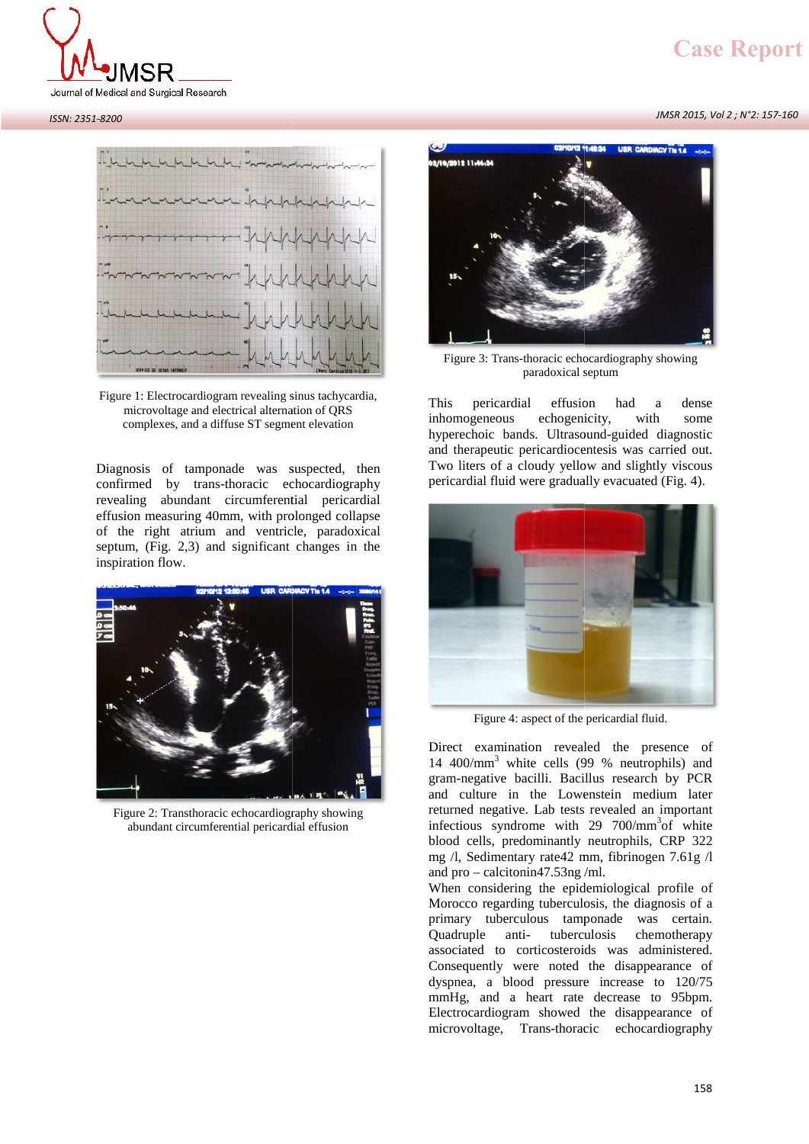# **LASE REPOPT**<br>JMSR 2015, *Vol 2 ; N°2*: 157-160 **Case Report Case Report**



#### *ISSN: 2351-8200*



confirmed by trans-thoracic echocardiography revealing abundant circumferential pericardial Diagnosis of tamponade was suspected, then<br>confirmed by trans-thoracic echocardiography<br>revealing abundant circumferential pericardial<br>effusion measuring 40mm, with prolonged collapse<br>of the right atrium and ventricle, par Diagnosis of tamponade was suspected, then<br>confirmed by trans-thoracic echocardiography<br>revealing abundant circumferential pericardial<br>effusion measuring 40mm, with prolonged collapse<br>of the right atrium and ventricle, par Diagnosis of tamponade was suspected, then<br>confirmed by trans-thoracic echocardiography<br>revealing abundant circumferential pericardial<br>effusion measuring 40mm, with prolonged collapse<br>of the right atrium and ventricle, par inspiration flow. complexes, and a diffuse ST segment elevation<br>Diagnosis of tamponade was suspected, t<br>confirmed by trans-thoracic echocardiogra<br>revealing abundant circumferential pericar<br>effusion measuring 40mm, with prolonged colla<br>of th suspected, the<br>echocardiograp<br>ential pericard<br>prolonged collar<br>tricle, paradoxi





This pericardial effusion had a dense<br>microvoltage and electrical alternation of QRS<br>complexes, and a diffuse ST segment elevation<br>hyperechoic bands. Ultrasound-guided diagnostic<br>and therapeutic pericardiocentesis was carr Figure 3: Trans-thoracic echocardiography showing<br>paradoxical septum<br>This pericardial effusion had a dense<br>echogenicity, with some Figure 3: Trans-thoracic echocardiography showing<br>paradoxical septum<br>This pericardial effusion had a dense<br>inhomogeneous echogenicity, with some<br>hyperechoic bands. Ultrasound-guided diagnostic Figure 3: Trans-thoracic echocardiography showing<br>paradoxical septum<br>This pericardial effusion had a dense<br>inhomogeneous echogenicity, with some<br>hyperechoic bands. Ultrasound-guided diagnostic<br>and therapeutic pericardiocen paradoxical septum<br>
This pericardial effusion had a dense<br>
inhomogeneous echogenicity, with some<br>
hyperechoic bands. Ultrasound-guided diagnostic<br>
and therapeutic pericardiocentesis was carried out.<br>
Two liters of a cloudy This pericardial effusion had a dense<br>inhomogeneous echogenicity, with some<br>hyperechoic bands. Ultrasound-guided diagnostic<br>and therapeutic pericardiocentesis was carried out.<br>Two liters of a cloudy yellow and slightly vis This pericardial effusion had a dense<br>inhomogeneous echogenicity, with some<br>hyperechoic bands. Ultrasound-guided diagnostic<br>and therapeutic pericardiocentesis was carried out.<br>Two liters of a cloudy yellow and slightly vis Figure 3: Trans-thoracic echocardiography showing<br>paradoxical septum<br>This pericardial effusion had a dense<br>inhomogeneous echogenicity, with some<br>hyperechoic bands. Ultrasound-guided diagnostic<br>and therapeutic pericardiocen



Figure 4: aspect of the pericardial fluid.

Figure 4: aspect of the pericardial fluid.<br>Direct examination revealed the presence of<br>14 400/mm<sup>3</sup> white cells (99 % neutrophils) and<br>gram-negative bacilli. Bacillus research by PCR 14  $400/\text{mm}^3$  white cells (99 % neutrophils) and gram-negative bacilli. Bacillus research by PCR and culture in the Lowenstein medium later returned negative. Lab tests revealed an important Direct examination revealed the presence of 14 400/mm<sup>3</sup> white cells (99 % neutrophils) and gram-negative bacilli. Bacillus research by PCR and culture in the Lowenstein medium later returned negative. Lab tests revealed Direct examination revealed the presence of 14 400/mm<sup>3</sup> white cells (99 % neutrophils) and gram-negative bacilli. Bacillus research by PCR and culture in the Lowenstein medium later returned negative. Lab tests revealed 14 400/mm<sup>3</sup> white cells (99 % neutrophils) and<br>gram-negative bacilli. Bacillus research by PCR<br>and culture in the Lowenstein medium later<br>returned negative. Lab tests revealed an important<br>infectious syndrome with 29 700 gram-negative bacilli. Bacillus research by PCR<br>and culture in the Lowenstein medium later<br>returned negative. Lab tests revealed an important<br>infectious syndrome with 29 700/mm<sup>3</sup>of white<br>blood cells, predominantly neutro and culture in the Lowenstein<br>returned negative. Lab tests reveale<br>infectious syndrome with 29 700<br>blood cells, predominantly neutrop<br>mg /l, Sedimentary rate42 mm, fibri<br>and pro – calcitonin47.53ng /ml.<br>When considering th returned negative. Lab tests revealed an important<br>infectious syndrome with 29 700/mm<sup>3</sup>of white<br>blood cells, predominantly neutrophils, CRP 322<br>mg /l, Sedimentary rate42 mm, fibrinogen 7.61g /l<br>and pro – calcitonin47.53n

blood cells, predominantly neutrophils, CRP 322 mg  $\Lambda$ , Sedimentary rate42 mm, fibrinogen 7.61g  $\Lambda$  and pro – calcitonin47.53ng  $\Lambda$ ml.<br>When considering the epidemiological profile of Morocco regarding tuberculosis, the mg  $\Lambda$ , Sedimentary rate42 mm, fibrinogen 7.61g  $\Lambda$ <br>and pro – calcitonin47.53ng  $\Lambda$ .<br>When considering the epidemiological profile of<br>Morocco regarding tuberculous tamponade was certain.<br>Quadruple anti- tuberculous chem primary tuberculous tamponade was certain. and pro – calcitonin47.53ng/ml.<br>When considering the epidemiological profile of<br>Morocco regarding tuberculosis, the diagnosis of a<br>primary tuberculous tamponade was certain.<br>Quadruple anti- tuberculosis chemotherapy<br>associ When considering the epidemiological profile of<br>Morocco regarding tuberculosis, the diagnosis of a<br>primary tuberculous tamponade was certain.<br>Quadruple anti-tuberculosis chemotherapy<br>associated to corticosteroids was admin Morocco regarding tuberculosis, the diagnosis of a<br>primary tuberculous tamponade was certain.<br>Quadruple anti- tuberculosis chemotherapy<br>associated to corticosteroids was administered.<br>Consequently were noted the disappeara primary tuberculous tamponade was certain.<br>Quadruple anti- tuberculosis chemotherapy<br>associated to corticosteroids was administered.<br>Consequently were noted the disappearance of<br>dyspnea, a blood pressure increase to 120/75 Quadruple anti- tuberculosis chemotherapy<br>associated to corticosteroids was administered.<br>Consequently were noted the disappearance of<br>dyspnea, a blood pressure increase to 120/75<br>mmHg, and a heart rate decrease to 95bpm.<br> associated to corticosteroids was administered.<br>Consequently were noted the disappearance of<br>dyspnea, a blood pressure increase to 120/75<br>mmHg, and a heart rate decrease to 95bpm.<br>Electrocardiogram showed the disappearance Figure 4: aspect of the pericardial fluid.<br>Direct examination revealed the presence of<br>14 400/mm<sup>3</sup> white cells (99 % neutrophils) and<br>gram-negative bacilli. Bacillus research by PCR<br>and culture in the Lowenstein medium l

#### *JMSR 2015, Vol 2 ; N°2: 157-160*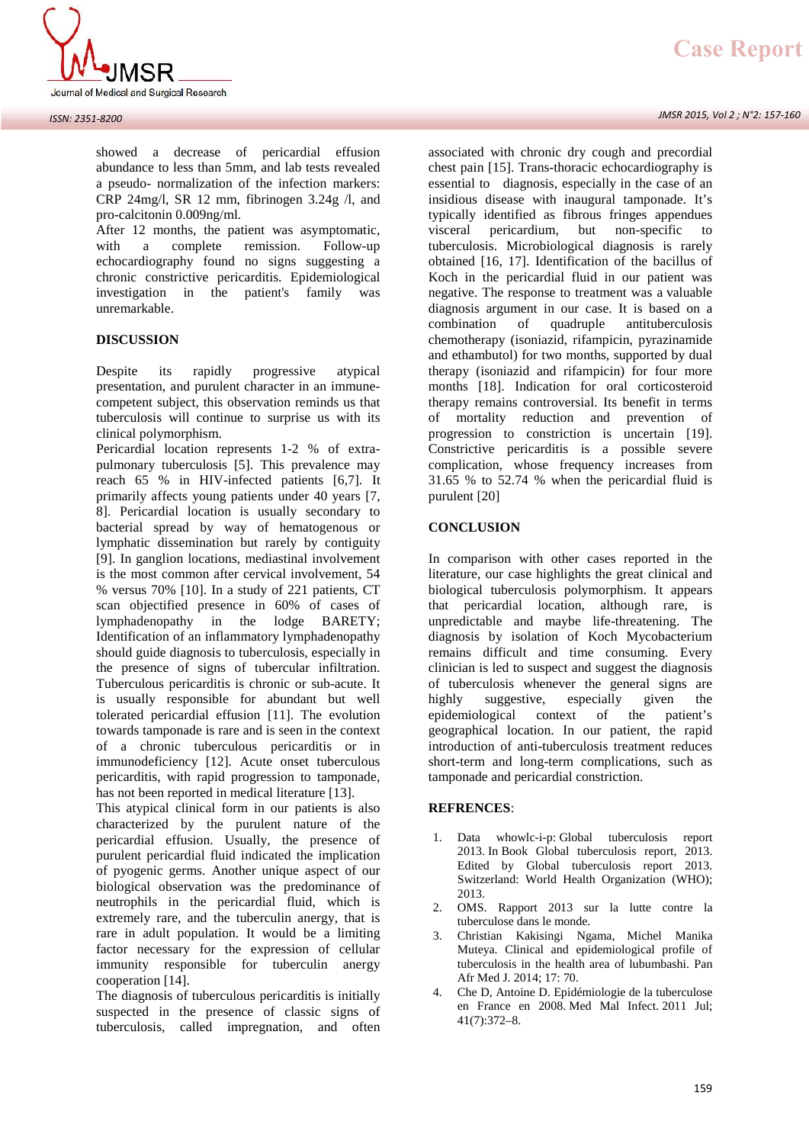

showed a decrease of pericardial effusion abundance to less than 5mm, and lab tests revealed a pseudo- normalization of the infection markers: CRP 24mg/l, SR 12 mm, fibrinogen 3.24g /l, and pro-calcitonin 0.009ng/ml.

After 12 months, the patient was asymptomatic,<br>with a complete remission. Follow-up a complete remission. Follow-up echocardiography found no signs suggesting a chronic constrictive pericarditis. Epidemiological investigation in the patient's family was unremarkable.

## **DISCUSSION**

Despite its rapidly progressive atypical presentation, and purulent character in an immune competent subject, this observation reminds us that tuberculosis will continue to surprise us with its clinical polymorphism.

Pericardial location represents 1-2 % of extra pulmonary tuberculosis [5]. This prevalence may reach 65 % in HIV-infected patients [6,7]. It primarily affects young patients under 40 years [7, 8]. Pericardial location is usually secondary to bacterial spread by way of hematogenous or lymphatic dissemination but rarely by contiguity [9]. In ganglion locations, mediastinal involvement is the most common after cervical involvement, 54 % versus 70% [10]. In a study of 221 patients, CT scan objectified presence in 60% of cases of lymphadenopathy in the lodge BARETY; Identification of an inflammatory lymphadenopathy should guide diagnosis to tuberculosis, especially in the presence of signs of tubercular infiltration. Tuberculous pericarditis is chronic or sub-acute. It is usually responsible for abundant but well tolerated pericardial effusion [11]. The evolution towards tamponade is rare and is seen in the context of a chronic tuberculous pericarditis or in immunodeficiency [12]. Acute onset tuberculous pericarditis, with rapid progression to tamponade, has not been reported in medical literature [13].

This atypical clinical form in our patients is also characterized by the purulent nature of the pericardial effusion. Usually, the presence of purulent pericardial fluid indicated the implication of pyogenic germs. Another unique aspect of our biological observation was the predominance of neutrophils in the pericardial fluid, which is extremely rare, and the tuberculin anergy, that is rare in adult population. It would be a limiting factor necessary for the expression of cellular immunity responsible for tuberculin anergy cooperation [14].

The diagnosis of tuberculous pericarditis is initially suspected in the presence of classic signs of tuberculosis, called impregnation, and often

#### *JMSR 2015, Vol 2 ; N°2: 157-160*

associated with chronic dry cough and precordial chest pain [15]. Trans-thoracic echocardiography is essential to diagnosis, especially in the case of an insidious disease with inaugural tamponade. It's typically identified as fibrous fringes appendues pericardium, but non-specific to tuberculosis. Microbiological diagnosis is rarely obtained [16, 17]. Identification of the bacillus of Koch in the pericardial fluid in our patient was negative. The response to treatment was a valuable diagnosis argument in our case. It is based on a combination of quadruple antituberculosis chemotherapy (isoniazid, rifampicin, pyrazinamide and ethambutol) for two months, supported by dual therapy (isoniazid and rifampicin) for four more months [18]. Indication for oral corticosteroid therapy remains controversial. Its benefit in terms of mortality reduction and prevention of progression to constriction is uncertain [19]. Constrictive pericarditis is a possible severe complication, whose frequency increases from 31.65 % to 52.74 % when the pericardial fluid is purulent [20]

#### **CONCLUSION**

In comparison with other cases reported in the literature, our case highlights the great clinical and biological tuberculosis polymorphism. It appears that pericardial location, although rare, is unpredictable and maybe life-threatening. The diagnosis by isolation of Koch Mycobacterium remains difficult and time consuming. Every clinician is led to suspect and suggest the diagnosis of tuberculosis whenever the general signs are highly suggestive, especially given the highly suggestive, especially given the epidemiological context of the patient's geographical location. In our patient, the rapid introduction of anti-tuberculosis treatment reduces short-term and long-term complications, such as tamponade and pericardial constriction.

## **REFRENCES**:

- 1. Data whowlc-i-p: Global tuberculosis report 2013. In Book Global tuberculosis report, 2013. Edited by Global tuberculosis report 2013. Switzerland: World Health Organization (WHO); 2013.
- 2. OMS. Rapport 2013 sur la lutte contre la tuberculose dans le monde.
- 3. Christian Kakisingi Ngama, Michel Manika Muteya. Clinical and epidemiological profile of tuberculosis in the health area of lubumbashi. Pan Afr Med J. 2014; 17: 70.
- 4. Che D, Antoine D. Epidémiologie de la tuberculose en France en 2008. Med Mal Infect. 2011 Jul; 41(7):372–8.